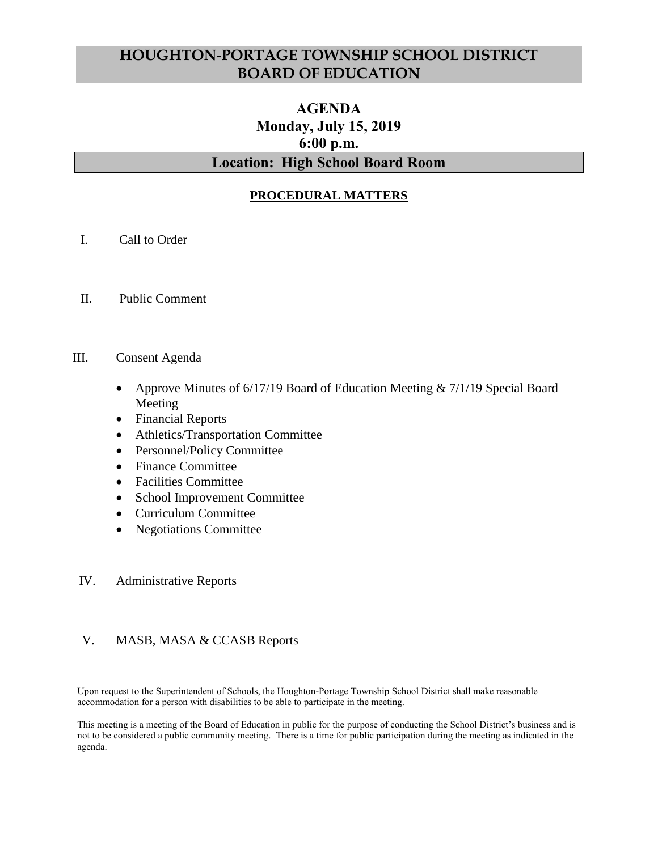# **HOUGHTON-PORTAGE TOWNSHIP SCHOOL DISTRICT BOARD OF EDUCATION**

# **AGENDA Monday, July 15, 2019 6:00 p.m. Location: High School Board Room**

# **PROCEDURAL MATTERS**

- I. Call to Order
- II. Public Comment
- III. Consent Agenda
	- Approve Minutes of 6/17/19 Board of Education Meeting & 7/1/19 Special Board Meeting
	- Financial Reports
	- Athletics/Transportation Committee
	- Personnel/Policy Committee
	- Finance Committee
	- Facilities Committee
	- School Improvement Committee
	- Curriculum Committee
	- Negotiations Committee

#### IV. Administrative Reports

### V. MASB, MASA & CCASB Reports

Upon request to the Superintendent of Schools, the Houghton-Portage Township School District shall make reasonable accommodation for a person with disabilities to be able to participate in the meeting.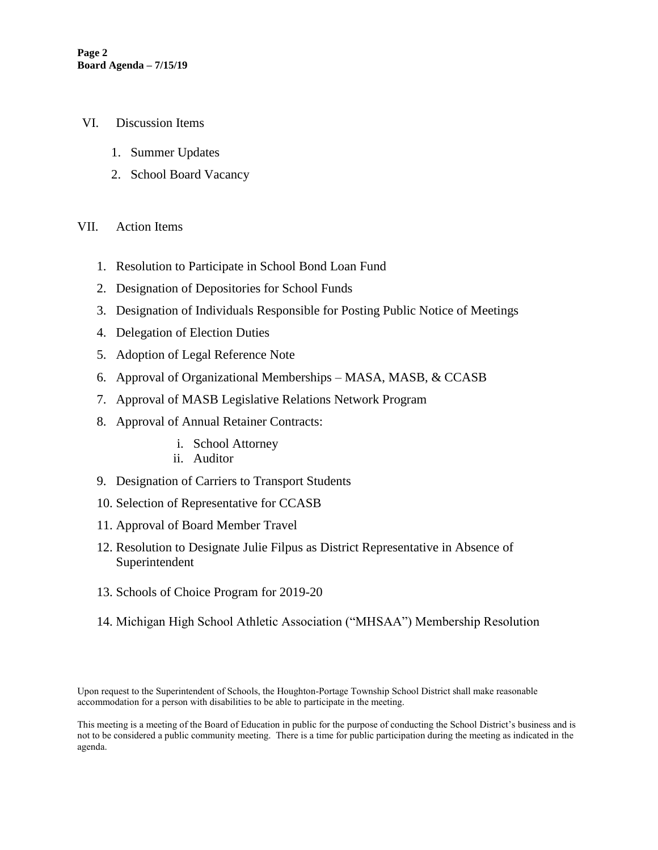- VI. Discussion Items
	- 1. Summer Updates
	- 2. School Board Vacancy

### VII. Action Items

- 1. Resolution to Participate in School Bond Loan Fund
- 2. Designation of Depositories for School Funds
- 3. Designation of Individuals Responsible for Posting Public Notice of Meetings
- 4. Delegation of Election Duties
- 5. Adoption of Legal Reference Note
- 6. Approval of Organizational Memberships MASA, MASB, & CCASB
- 7. Approval of MASB Legislative Relations Network Program
- 8. Approval of Annual Retainer Contracts:
	- i. School Attorney
	- ii. Auditor
- 9. Designation of Carriers to Transport Students
- 10. Selection of Representative for CCASB
- 11. Approval of Board Member Travel
- 12. Resolution to Designate Julie Filpus as District Representative in Absence of Superintendent
- 13. Schools of Choice Program for 2019-20
- 14. Michigan High School Athletic Association ("MHSAA") Membership Resolution

Upon request to the Superintendent of Schools, the Houghton-Portage Township School District shall make reasonable accommodation for a person with disabilities to be able to participate in the meeting.

This meeting is a meeting of the Board of Education in public for the purpose of conducting the School District's business and is not to be considered a public community meeting. There is a time for public participation during the meeting as indicated in the agenda.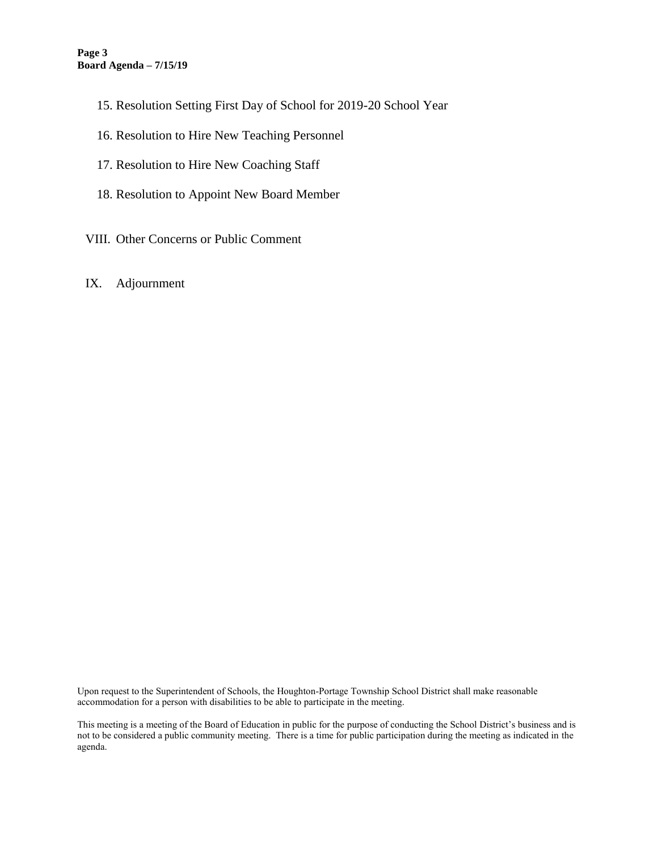- 15. Resolution Setting First Day of School for 2019-20 School Year
- 16. Resolution to Hire New Teaching Personnel
- 17. Resolution to Hire New Coaching Staff
- 18. Resolution to Appoint New Board Member
- VIII. Other Concerns or Public Comment
- IX. Adjournment

Upon request to the Superintendent of Schools, the Houghton-Portage Township School District shall make reasonable accommodation for a person with disabilities to be able to participate in the meeting.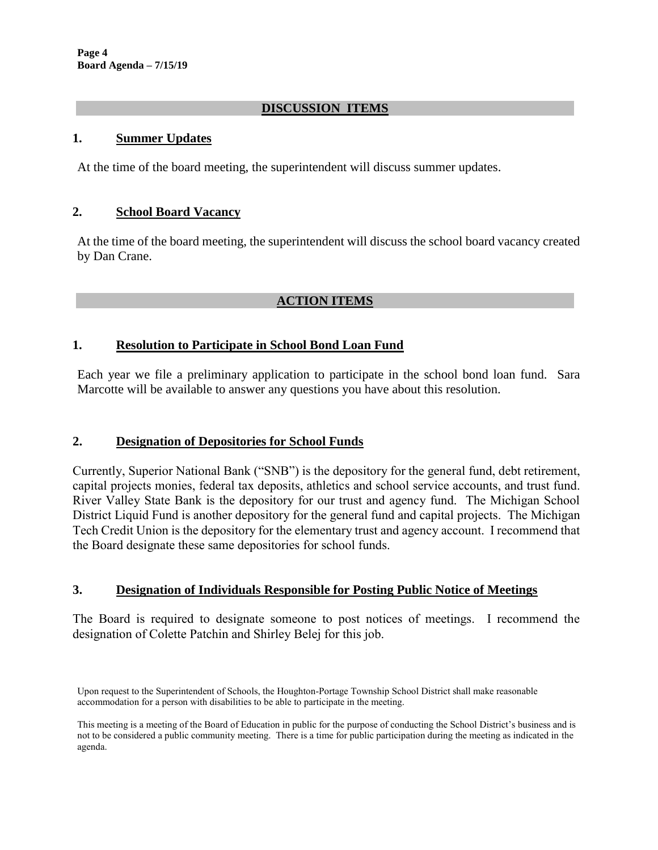# **DISCUSSION ITEMS**

### **1. Summer Updates**

At the time of the board meeting, the superintendent will discuss summer updates.

### **2. School Board Vacancy**

At the time of the board meeting, the superintendent will discuss the school board vacancy created by Dan Crane.

# **ACTION ITEMS**

### **1. Resolution to Participate in School Bond Loan Fund**

Each year we file a preliminary application to participate in the school bond loan fund. Sara Marcotte will be available to answer any questions you have about this resolution.

### **2. Designation of Depositories for School Funds**

Currently, Superior National Bank ("SNB") is the depository for the general fund, debt retirement, capital projects monies, federal tax deposits, athletics and school service accounts, and trust fund. River Valley State Bank is the depository for our trust and agency fund. The Michigan School District Liquid Fund is another depository for the general fund and capital projects. The Michigan Tech Credit Union is the depository for the elementary trust and agency account. I recommend that the Board designate these same depositories for school funds.

### **3. Designation of Individuals Responsible for Posting Public Notice of Meetings**

The Board is required to designate someone to post notices of meetings. I recommend the designation of Colette Patchin and Shirley Belej for this job.

Upon request to the Superintendent of Schools, the Houghton-Portage Township School District shall make reasonable accommodation for a person with disabilities to be able to participate in the meeting.

This meeting is a meeting of the Board of Education in public for the purpose of conducting the School District's business and is not to be considered a public community meeting. There is a time for public participation during the meeting as indicated in the agenda.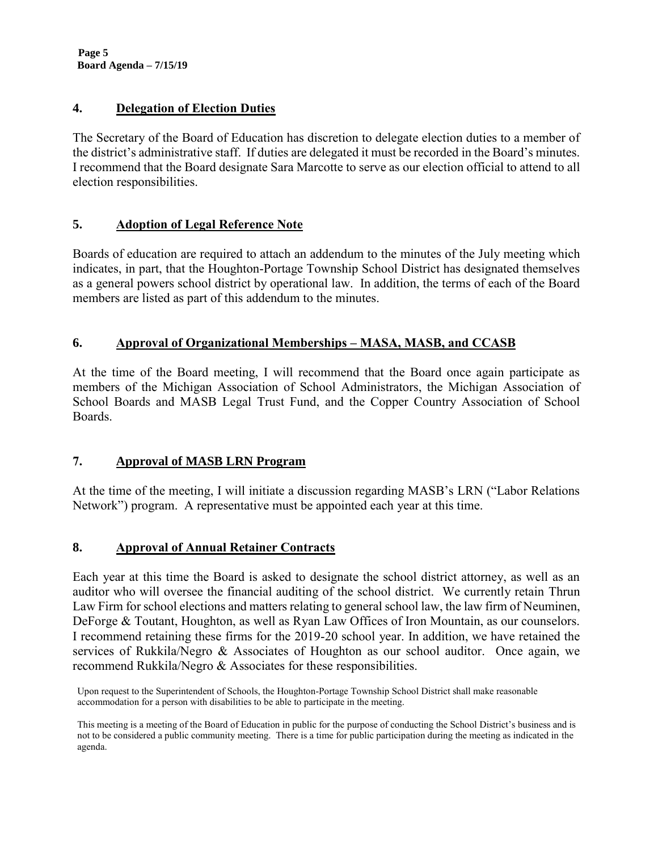**Page 5 Board Agenda – 7/15/19**

# **4. Delegation of Election Duties**

The Secretary of the Board of Education has discretion to delegate election duties to a member of the district's administrative staff. If duties are delegated it must be recorded in the Board's minutes. I recommend that the Board designate Sara Marcotte to serve as our election official to attend to all election responsibilities.

# **5. Adoption of Legal Reference Note**

Boards of education are required to attach an addendum to the minutes of the July meeting which indicates, in part, that the Houghton-Portage Township School District has designated themselves as a general powers school district by operational law. In addition, the terms of each of the Board members are listed as part of this addendum to the minutes.

# **6. Approval of Organizational Memberships – MASA, MASB, and CCASB**

At the time of the Board meeting, I will recommend that the Board once again participate as members of the Michigan Association of School Administrators, the Michigan Association of School Boards and MASB Legal Trust Fund, and the Copper Country Association of School Boards.

### **7. Approval of MASB LRN Program**

At the time of the meeting, I will initiate a discussion regarding MASB's LRN ("Labor Relations Network") program. A representative must be appointed each year at this time.

### **8. Approval of Annual Retainer Contracts**

Each year at this time the Board is asked to designate the school district attorney, as well as an auditor who will oversee the financial auditing of the school district. We currently retain Thrun Law Firm for school elections and matters relating to general school law, the law firm of Neuminen, DeForge & Toutant, Houghton, as well as Ryan Law Offices of Iron Mountain, as our counselors. I recommend retaining these firms for the 2019-20 school year. In addition, we have retained the services of Rukkila/Negro & Associates of Houghton as our school auditor. Once again, we recommend Rukkila/Negro & Associates for these responsibilities.

Upon request to the Superintendent of Schools, the Houghton-Portage Township School District shall make reasonable accommodation for a person with disabilities to be able to participate in the meeting.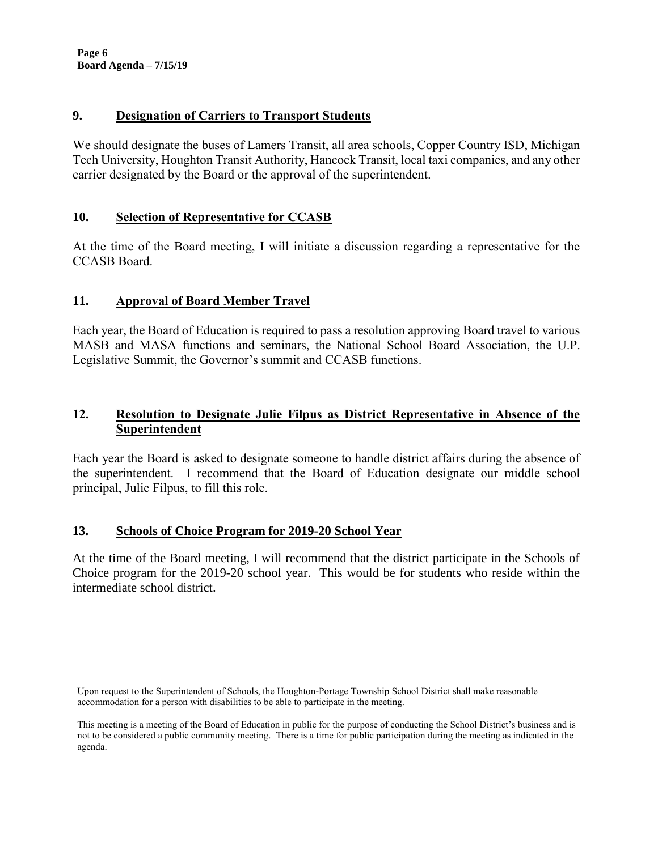**Page 6 Board Agenda – 7/15/19**

### **9. Designation of Carriers to Transport Students**

We should designate the buses of Lamers Transit, all area schools, Copper Country ISD, Michigan Tech University, Houghton Transit Authority, Hancock Transit, local taxi companies, and any other carrier designated by the Board or the approval of the superintendent.

# **10. Selection of Representative for CCASB**

At the time of the Board meeting, I will initiate a discussion regarding a representative for the CCASB Board.

# **11. Approval of Board Member Travel**

Each year, the Board of Education is required to pass a resolution approving Board travel to various MASB and MASA functions and seminars, the National School Board Association, the U.P. Legislative Summit, the Governor's summit and CCASB functions.

# **12. Resolution to Designate Julie Filpus as District Representative in Absence of the Superintendent**

Each year the Board is asked to designate someone to handle district affairs during the absence of the superintendent. I recommend that the Board of Education designate our middle school principal, Julie Filpus, to fill this role.

### **13. Schools of Choice Program for 2019-20 School Year**

At the time of the Board meeting, I will recommend that the district participate in the Schools of Choice program for the 2019-20 school year. This would be for students who reside within the intermediate school district.

Upon request to the Superintendent of Schools, the Houghton-Portage Township School District shall make reasonable accommodation for a person with disabilities to be able to participate in the meeting.

This meeting is a meeting of the Board of Education in public for the purpose of conducting the School District's business and is not to be considered a public community meeting. There is a time for public participation during the meeting as indicated in the agenda.